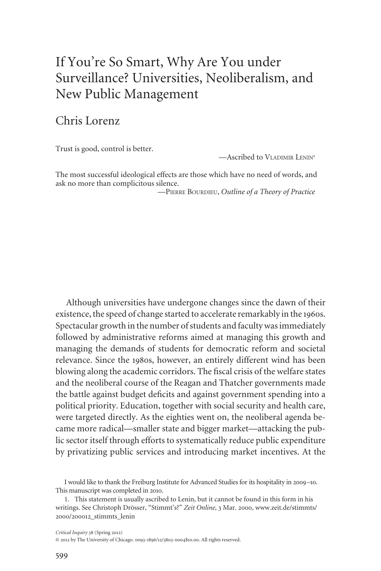# If You're So Smart, Why Are You under Surveillance? Universities, Neoliberalism, and New Public Management

# Chris Lorenz

Trust is good, control is better.

—Ascribed to VLADIMIR LENIN<sup>1</sup>

The most successful ideological effects are those which have no need of words, and ask no more than complicitous silence.

—PIERRE BOURDIEU, *Outline of a Theory of Practice*

Although universities have undergone changes since the dawn of their existence, the speed of change started to accelerate remarkably in the 1960s. Spectacular growth in the number of students and faculty was immediately followed by administrative reforms aimed at managing this growth and managing the demands of students for democratic reform and societal relevance. Since the 1980s, however, an entirely different wind has been blowing along the academic corridors. The fiscal crisis of the welfare states and the neoliberal course of the Reagan and Thatcher governments made the battle against budget deficits and against government spending into a political priority. Education, together with social security and health care, were targeted directly. As the eighties went on, the neoliberal agenda became more radical—smaller state and bigger market—attacking the public sector itself through efforts to systematically reduce public expenditure by privatizing public services and introducing market incentives. At the

*Critical Inquiry* 38 (Spring 2012)

I would like to thank the Freiburg Institute for Advanced Studies for its hospitality in 2009–10. This manuscript was completed in 2010.

<sup>1.</sup> This statement is usually ascribed to Lenin, but it cannot be found in this form in his writings. See Christoph Drösser, "Stimmt's?" *Zeit Online,* 3 Mar. 2000, www.zeit.de/stimmts/ 2000/200012\_stimmts\_lenin

<sup>©</sup> 2012 by The University of Chicago. 0093-1896/12/3803-0004\$10.00. All rights reserved.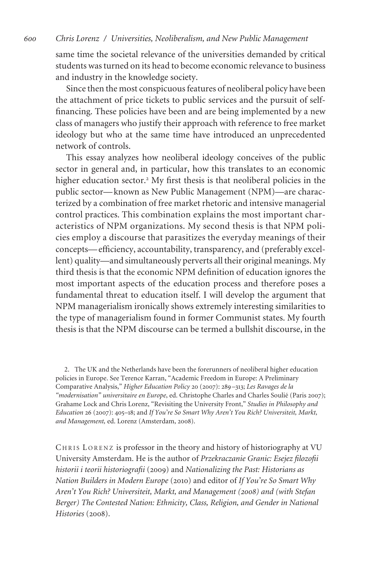same time the societal relevance of the universities demanded by critical students was turned on its head to become economic relevance to business and industry in the knowledge society.

Since then the most conspicuous features of neoliberal policy have been the attachment of price tickets to public services and the pursuit of selffinancing. These policies have been and are being implemented by a new class of managers who justify their approach with reference to free market ideology but who at the same time have introduced an unprecedented network of controls.

This essay analyzes how neoliberal ideology conceives of the public sector in general and, in particular, how this translates to an economic higher education sector.<sup>2</sup> My first thesis is that neoliberal policies in the public sector— known as New Public Management (NPM)—are characterized by a combination of free market rhetoric and intensive managerial control practices. This combination explains the most important characteristics of NPM organizations. My second thesis is that NPM policies employ a discourse that parasitizes the everyday meanings of their concepts— efficiency, accountability, transparency, and (preferably excellent) quality—and simultaneously perverts all their original meanings. My third thesis is that the economic NPM definition of education ignores the most important aspects of the education process and therefore poses a fundamental threat to education itself. I will develop the argument that NPM managerialism ironically shows extremely interesting similarities to the type of managerialism found in former Communist states. My fourth thesis is that the NPM discourse can be termed a bullshit discourse, in the

2. The UK and the Netherlands have been the forerunners of neoliberal higher education policies in Europe. See Terence Karran, "Academic Freedom in Europe: A Preliminary Comparative Analysis," *Higher Education Policy* 20 (2007): 289–313; *Les Ravages de la "modernisation" universitaire en Europe*, ed. Christophe Charles and Charles Soulie´ (Paris 2007); Grahame Lock and Chris Lorenz, "Revisiting the University Front," *Studies in Philosophy and Education* 26 (2007): 405–18; and *If You're So Smart Why Aren't You Rich? Universiteit, Markt, and Management,* ed. Lorenz (Amsterdam, 2008).

CHRIS LORENZ is professor in the theory and history of historiography at VU University Amsterdam. He is the author of *Przekraczanie Granic: Esejez filozofii historii i teorii historiografii* (2009) and *Nationalizing the Past: Historians as Nation Builders in Modern Europe* (2010) and editor of *If You're So Smart Why Aren't You Rich? Universiteit, Markt, and Management (2008) and (with Stefan Berger) The Contested Nation: Ethnicity, Class, Religion, and Gender in National Histories* (2008).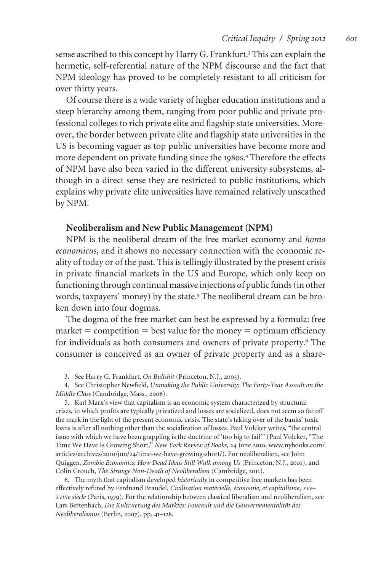sense ascribed to this concept by Harry G. Frankfurt.<sup>3</sup> This can explain the hermetic, self-referential nature of the NPM discourse and the fact that NPM ideology has proved to be completely resistant to all criticism for over thirty years.

Of course there is a wide variety of higher education institutions and a steep hierarchy among them, ranging from poor public and private professional colleges to rich private elite and flagship state universities. Moreover, the border between private elite and flagship state universities in the US is becoming vaguer as top public universities have become more and more dependent on private funding since the 1980s.<sup>4</sup> Therefore the effects of NPM have also been varied in the different university subsystems, although in a direct sense they are restricted to public institutions, which explains why private elite universities have remained relatively unscathed by NPM.

### **Neoliberalism and New Public Management (NPM)**

NPM is the neoliberal dream of the free market economy and *homo economicus*, and it shows no necessary connection with the economic reality of today or of the past. This is tellingly illustrated by the present crisis in private financial markets in the US and Europe, which only keep on functioning through continual massive injections of public funds (in other words, taxpayers' money) by the state.<sup>5</sup> The neoliberal dream can be broken down into four dogmas.

The dogma of the free market can best be expressed by a formula: free  $market = competition = best value for the money = optimum efficiency$ for individuals as both consumers and owners of private property.<sup>6</sup> The consumer is conceived as an owner of private property and as a share-

3. See Harry G. Frankfurt, *On Bullshit* (Princeton, N.J., 2005).

4. See Christopher Newfield, *Unmaking the Public University: The Forty-Year Assault on the Middle Class* (Cambridge, Mass., 2008).

5. Karl Marx's view that capitalism is an economic system characterized by structural crises, in which profits are typically privatized and losses are socialized, does not seem so far off the mark in the light of the present economic crisis. The state's taking over of the banks' toxic loans is after all nothing other than the socialization of losses. Paul Volcker writes, "the central issue with which we have been grappling is the doctrine of 'too big to fail'" (Paul Volcker, "The Time We Have Is Growing Short," *New York Review of Books*, 24 June 2010, www.nybooks.com/ articles/archives/2010/jun/24/time-we-have-growing-short/). For neoliberalism, see John Quiggen, *Zombie Economics: How Dead Ideas Still Walk among Us* (Princeton, N.J., 2010), and Colin Crouch, *The Strange Non-Death of Neoliberalism* (Cambridge, 2011).

6. The myth that capitalism developed *historically* in competitive free markets has been effectively refuted by Ferdnand Braudel, *Civilisation matérielle, économie, et capitalisme, XVe– XVIIIe sie`cle* (Paris, 1979). For the relationship between classical liberalism and neoliberalism, see Lars Bertenbach, *Die Kultivierung des Marktes: Foucault und die Gouvernementalität des Neoliberalismus* (Berlin, 2007), pp. 41–128.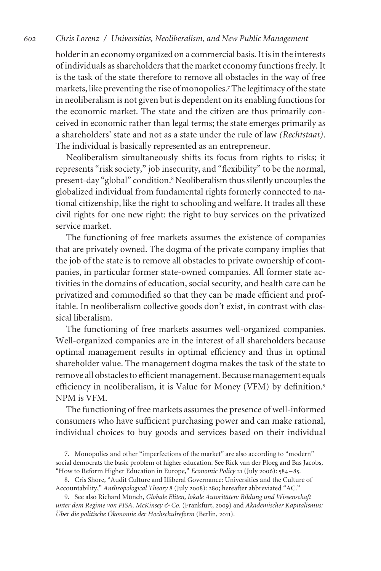holder in an economy organized on a commercial basis. It is in the interests of individuals as shareholders that the market economy functions freely. It is the task of the state therefore to remove all obstacles in the way of free markets, like preventing the rise of monopolies.<sup>7</sup> The legitimacy of the state in neoliberalism is not given but is dependent on its enabling functions for the economic market. The state and the citizen are thus primarily conceived in economic rather than legal terms; the state emerges primarily as a shareholders' state and not as a state under the rule of law *(Rechtstaat)*. The individual is basically represented as an entrepreneur.

Neoliberalism simultaneously shifts its focus from rights to risks; it represents "risk society," job insecurity, and "flexibility" to be the normal, present-day "global" condition.<sup>8</sup> Neoliberalism thus silently uncouples the globalized individual from fundamental rights formerly connected to national citizenship, like the right to schooling and welfare. It trades all these civil rights for one new right: the right to buy services on the privatized service market.

The functioning of free markets assumes the existence of companies that are privately owned. The dogma of the private company implies that the job of the state is to remove all obstacles to private ownership of companies, in particular former state-owned companies. All former state activities in the domains of education, social security, and health care can be privatized and commodified so that they can be made efficient and profitable. In neoliberalism collective goods don't exist, in contrast with classical liberalism.

The functioning of free markets assumes well-organized companies. Well-organized companies are in the interest of all shareholders because optimal management results in optimal efficiency and thus in optimal shareholder value. The management dogma makes the task of the state to remove all obstacles to efficient management. Because management equals efficiency in neoliberalism, it is Value for Money (VFM) by definition.<sup>9</sup> NPM is VFM.

The functioning of free markets assumes the presence of well-informed consumers who have sufficient purchasing power and can make rational, individual choices to buy goods and services based on their individual

7. Monopolies and other "imperfections of the market" are also according to "modern" social democrats the basic problem of higher education. See Rick van der Ploeg and Bas Jacobs, "How to Reform Higher Education in Europe," *Economic Policy* 21 (July 2006): 584–85.

8. Cris Shore, "Audit Culture and Illiberal Governance: Universities and the Culture of Accountability," *Anthropological Theory* 8 (July 2008): 280; hereafter abbreviated "AC."

9. See also Richard Münch, *Globale Eliten, lokale Autoritäten: Bildung und Wissenschaft unter dem Regime von PISA, McKinsey & Co.* (Frankfurt, 2009) and *Akademischer Kapitalismus: U¨ ber die politische Ökonomie der Hochschulreform* (Berlin, 2011).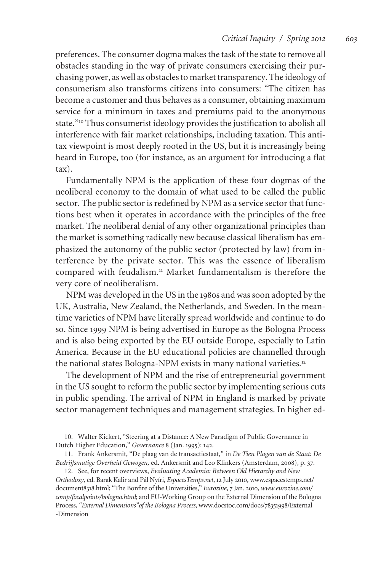preferences. The consumer dogma makes the task of the state to remove all obstacles standing in the way of private consumers exercising their purchasing power, as well as obstacles to market transparency. The ideology of consumerism also transforms citizens into consumers: "The citizen has become a customer and thus behaves as a consumer, obtaining maximum service for a minimum in taxes and premiums paid to the anonymous state."<sup>10</sup> Thus consumerist ideology provides the justification to abolish all interference with fair market relationships, including taxation. This antitax viewpoint is most deeply rooted in the US, but it is increasingly being heard in Europe, too (for instance, as an argument for introducing a flat tax).

Fundamentally NPM is the application of these four dogmas of the neoliberal economy to the domain of what used to be called the public sector. The public sector is redefined by NPM as a service sector that functions best when it operates in accordance with the principles of the free market. The neoliberal denial of any other organizational principles than the market is something radically new because classical liberalism has emphasized the autonomy of the public sector (protected by law) from interference by the private sector. This was the essence of liberalism compared with feudalism.<sup>11</sup> Market fundamentalism is therefore the very core of neoliberalism.

NPM was developed in the US in the 1980s and was soon adopted by the UK, Australia, New Zealand, the Netherlands, and Sweden. In the meantime varieties of NPM have literally spread worldwide and continue to do so. Since 1999 NPM is being advertised in Europe as the Bologna Process and is also being exported by the EU outside Europe, especially to Latin America. Because in the EU educational policies are channelled through the national states Bologna-NPM exists in many national varieties.<sup>12</sup>

The development of NPM and the rise of entrepreneurial government in the US sought to reform the public sector by implementing serious cuts in public spending. The arrival of NPM in England is marked by private sector management techniques and management strategies. In higher ed-

10. Walter Kickert, "Steering at a Distance: A New Paradigm of Public Governance in Dutch Higher Education," *Governance* 8 (Jan. 1995): 142.

11. Frank Ankersmit, "De plaag van de transactiestaat," in *De Tien Plagen van de Staat: De Bedrijfsmatige Overheid Gewogen,* ed. Ankersmit and Leo Klinkers (Amsterdam, 2008), p. 37.

12. See, for recent overviews, *Evaluating Academia: Between Old Hierarchy and New Orthodoxy,* ed. Barak Kalir and Pa´l Nyı´ri, *EspacesTemps.net*, 12 July 2010, www.espacestemps.net/ document8318.html; "The Bonfire of the Universities," *Eurozine*, 7 Jan. 2010, *www.eurozine.com/ comp/focalpoints/bologna.html*; and EU-Working Group on the External Dimension of the Bologna Process, *"External Dimensions"of the Bologna Process*, www.docstoc.com/docs/78351998/External -Dimension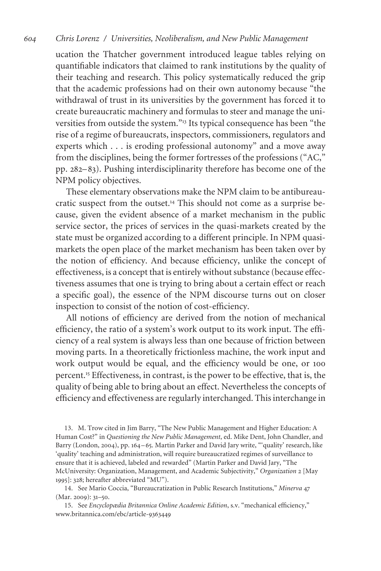ucation the Thatcher government introduced league tables relying on quantifiable indicators that claimed to rank institutions by the quality of their teaching and research. This policy systematically reduced the grip that the academic professions had on their own autonomy because "the withdrawal of trust in its universities by the government has forced it to create bureaucratic machinery and formulas to steer and manage the universities from outside the system."<sup>13</sup> Its typical consequence has been "the rise of a regime of bureaucrats, inspectors, commissioners, regulators and experts which . . . is eroding professional autonomy" and a move away from the disciplines, being the former fortresses of the professions ("AC," pp. 282–83). Pushing interdisciplinarity therefore has become one of the NPM policy objectives.

These elementary observations make the NPM claim to be antibureaucratic suspect from the outset.<sup>14</sup> This should not come as a surprise because, given the evident absence of a market mechanism in the public service sector, the prices of services in the quasi-markets created by the state must be organized according to a different principle. In NPM quasimarkets the open place of the market mechanism has been taken over by the notion of efficiency. And because efficiency, unlike the concept of effectiveness, is a concept that is entirely without substance (because effectiveness assumes that one is trying to bring about a certain effect or reach a specific goal), the essence of the NPM discourse turns out on closer inspection to consist of the notion of cost-efficiency.

All notions of efficiency are derived from the notion of mechanical efficiency, the ratio of a system's work output to its work input. The efficiency of a real system is always less than one because of friction between moving parts. In a theoretically frictionless machine, the work input and work output would be equal, and the efficiency would be one, or 100 percent.<sup>15</sup> Effectiveness, in contrast, is the power to be effective, that is, the quality of being able to bring about an effect. Nevertheless the concepts of efficiency and effectiveness are regularly interchanged. This interchange in

13. M. Trow cited in Jim Barry, "The New Public Management and Higher Education: A Human Cost?" in *Questioning the New Public Management*, ed. Mike Dent, John Chandler, and Barry (London, 2004), pp. 164–65. Martin Parker and David Jary write, "'quality' research, like 'quality' teaching and administration, will require bureaucratized regimes of surveillance to ensure that it is achieved, labeled and rewarded" (Martin Parker and David Jary, "The McUniversity: Organization, Management, and Academic Subjectivity," *Organization* 2 [May 1995]: 328; hereafter abbreviated "MU").

14. See Mario Coccia, "Bureaucratization in Public Research Institutions," *Minerva* 47 (Mar. 2009): 31–50.

15. See *Encyclopædia Britannica Online Academic Edition*, s.v. "mechanical efficiency," www.britannica.com/ebc/article-9363449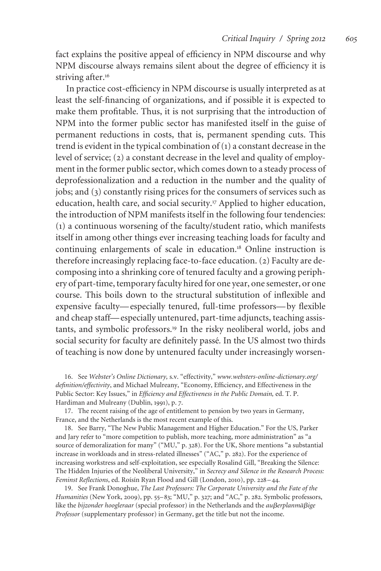fact explains the positive appeal of efficiency in NPM discourse and why NPM discourse always remains silent about the degree of efficiency it is striving after.<sup>16</sup>

In practice cost-efficiency in NPM discourse is usually interpreted as at least the self-financing of organizations, and if possible it is expected to make them profitable. Thus, it is not surprising that the introduction of NPM into the former public sector has manifested itself in the guise of permanent reductions in costs, that is, permanent spending cuts. This trend is evident in the typical combination of  $(1)$  a constant decrease in the level of service; (2) a constant decrease in the level and quality of employment in the former public sector, which comes down to a steady process of deprofessionalization and a reduction in the number and the quality of jobs; and (3) constantly rising prices for the consumers of services such as education, health care, and social security.<sup>17</sup> Applied to higher education, the introduction of NPM manifests itself in the following four tendencies: (1) a continuous worsening of the faculty/student ratio, which manifests itself in among other things ever increasing teaching loads for faculty and continuing enlargements of scale in education.<sup>18</sup> Online instruction is therefore increasingly replacing face-to-face education. (2) Faculty are decomposing into a shrinking core of tenured faculty and a growing periphery of part-time, temporary faculty hired for one year, one semester, or one course. This boils down to the structural substitution of inflexible and expensive faculty— especially tenured, full-time professors— by flexible and cheap staff— especially untenured, part-time adjuncts, teaching assistants, and symbolic professors.<sup>19</sup> In the risky neoliberal world, jobs and social security for faculty are definitely passé. In the US almost two thirds of teaching is now done by untenured faculty under increasingly worsen-

16. See *Webster's Online Dictionary,* s.v. "effectivity," *www.websters-online-dictionary.org/ definition/effectivity*, and Michael Mulreany, "Economy, Efficiency, and Effectiveness in the Public Sector: Key Issues," in *Efficiency and Effectiveness in the Public Domain,* ed. T. P. Hardiman and Mulreany (Dublin, 1991), p. 7.

17. The recent raising of the age of entitlement to pension by two years in Germany, France, and the Netherlands is the most recent example of this.

18. See Barry, "The New Public Management and Higher Education." For the US, Parker and Jary refer to "more competition to publish, more teaching, more administration" as "a source of demoralization for many" ("MU," p. 328). For the UK, Shore mentions "a substantial increase in workloads and in stress-related illnesses" ("AC," p. 282). For the experience of increasing workstress and self-exploitation, see especially Rosalind Gill, "Breaking the Silence: The Hidden Injuries of the Neoliberal University," in *Secrecy and Silence in the Research Process: Feminst Reflections*, ed. Roísín Ryan Flood and Gill (London, 2010), pp. 228–44.

19. See Frank Donoghue, *The Last Professors: The Corporate University and the Fate of the Humanities* (New York, 2009), pp. 55–83; "MU," p. 327; and "AC," p. 282. Symbolic professors, like the *bijzonder hoogleraar* (special professor) in the Netherlands and the *auerplanma¨ige Professor* (supplementary professor) in Germany, get the title but not the income.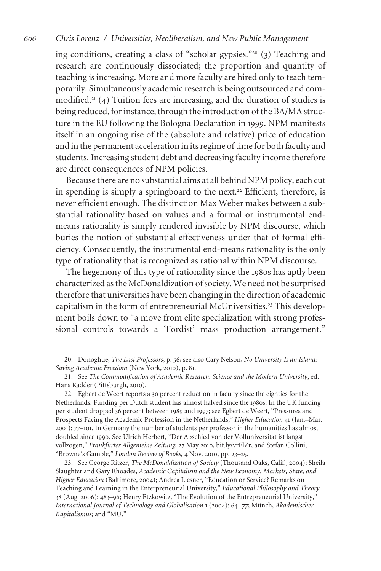ing conditions, creating a class of "scholar gypsies."<sup>20</sup> (3) Teaching and research are continuously dissociated; the proportion and quantity of teaching is increasing. More and more faculty are hired only to teach temporarily. Simultaneously academic research is being outsourced and commodified.<sup>21</sup> (4) Tuition fees are increasing, and the duration of studies is being reduced, for instance, through the introduction of the BA/MA structure in the EU following the Bologna Declaration in 1999. NPM manifests itself in an ongoing rise of the (absolute and relative) price of education and in the permanent acceleration in its regime of time for both faculty and students. Increasing student debt and decreasing faculty income therefore are direct consequences of NPM policies.

Because there are no substantial aims at all behind NPM policy, each cut in spending is simply a springboard to the next.<sup>22</sup> Efficient, therefore, is never efficient enough*.* The distinction Max Weber makes between a substantial rationality based on values and a formal or instrumental endmeans rationality is simply rendered invisible by NPM discourse, which buries the notion of substantial effectiveness under that of formal efficiency. Consequently, the instrumental end-means rationality is the only type of rationality that is recognized as rational within NPM discourse.

The hegemony of this type of rationality since the 1980s has aptly been characterized as the McDonaldization of society*.* We need not be surprised therefore that universities have been changing in the direction of academic capitalism in the form of entrepreneurial McUniversities.<sup>23</sup> This development boils down to "a move from elite specialization with strong professional controls towards a 'Fordist' mass production arrangement."

20. Donoghue, *The Last Professors*, p. 56; see also Cary Nelson, *No University Is an Island: Saving Academic Freedom* (New York, 2010), p. 81.

21. See *The Commodification of Academic Research: Science and the Modern University*, ed. Hans Radder (Pittsburgh, 2010).

22. Egbert de Weert reports a 30 percent reduction in faculty since the eighties for the Netherlands. Funding per Dutch student has almost halved since the 1980s. In the UK funding per student dropped 36 percent between 1989 and 1997; see Egbert de Weert, "Pressures and Prospects Facing the Academic Profession in the Netherlands," *Higher Education* 41 (Jan.–Mar. 2001): 77–101. In Germany the number of students per professor in the humanities has almost doubled since 1990. See Ulrich Herbert, "Der Abschied von der Volluniversität ist längst vollzogen," *Frankfurter Allgemeine Zeitung,* 27 May 2010, bit.ly/vrElZr, and Stefan Collini, "Browne's Gamble," *London Review of Books,* 4 Nov. 2010, pp. 23–25.

23. See George Ritzer, *The McDonaldization of Society* (Thousand Oaks, Calif., 2004); Sheila Slaughter and Gary Rhoades, *Academic Capitalism and the New Economy: Markets, State, and Higher Education* (Baltimore, 2004); Andrea Liesner, "Education or Service? Remarks on Teaching and Learning in the Enterpreneurial University," *Educational Philosophy and Theory* 38 (Aug. 2006): 483–96; Henry Etzkowitz, "The Evolution of the Entrepreneurial University," *International Journal of Technology and Globalisation* 1 (2004): 64–77; Mu¨nch, *Akademischer Kapitalismus;* and "MU."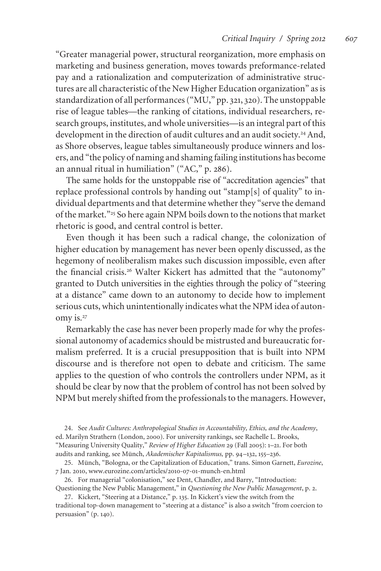"Greater managerial power, structural reorganization, more emphasis on marketing and business generation, moves towards preformance-related pay and a rationalization and computerization of administrative structures are all characteristic of the New Higher Education organization" as is standardization of all performances ("MU," pp.321,320). The unstoppable rise of league tables—the ranking of citations, individual researchers, research groups, institutes, and whole universities—is an integral part of this development in the direction of audit cultures and an audit society.<sup>24</sup> And, as Shore observes, league tables simultaneously produce winners and losers, and "the policy of naming and shaming failing institutions has become an annual ritual in humiliation" ("AC," p. 286).

The same holds for the unstoppable rise of "accreditation agencies" that replace professional controls by handing out "stamp[s] of quality" to individual departments and that determine whether they "serve the demand of the market."<sup>25</sup> So here again NPM boils down to the notions that market rhetoric is good, and central control is better.

Even though it has been such a radical change, the colonization of higher education by management has never been openly discussed, as the hegemony of neoliberalism makes such discussion impossible, even after the financial crisis.<sup>26</sup> Walter Kickert has admitted that the "autonomy" granted to Dutch universities in the eighties through the policy of "steering at a distance" came down to an autonomy to decide how to implement serious cuts, which unintentionally indicates what the NPM idea of autonomy is.<sup>27</sup>

Remarkably the case has never been properly made for why the professional autonomy of academics should be mistrusted and bureaucratic formalism preferred. It is a crucial presupposition that is built into NPM discourse and is therefore not open to debate and criticism. The same applies to the question of who controls the controllers under NPM, as it should be clear by now that the problem of control has not been solved by NPM but merely shifted from the professionals to the managers. However,

24. See *Audit Cultures: Anthropological Studies in Accountability, Ethics, and the Academy*, ed. Marilyn Strathern (London, 2000). For university rankings, see Rachelle L. Brooks, "Measuring University Quality," *Review of Higher Education* 29 (Fall 2005): 1–21. For both audits and ranking, see Münch, *Akademischer Kapitalismus*, pp. 94–132, 155–236.

25. Münch, "Bologna, or the Capitalization of Education," trans. Simon Garnett, *Eurozine*, 7 Jan. 2010, www.eurozine.com/articles/2010-07-01-munch-en.html

26. For managerial "colonisation," see Dent, Chandler, and Barry, "Introduction: Questioning the New Public Management," in *Questioning the New Public Management*, p. 2.

27. Kickert, "Steering at a Distance," p. 135. In Kickert's view the switch from the traditional top-down management to "steering at a distance" is also a switch "from coercion to persuasion" (p. 140).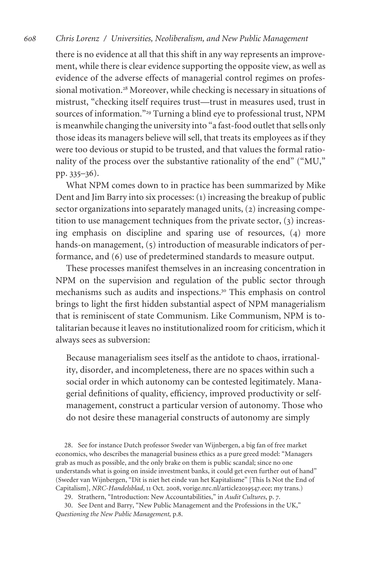there is no evidence at all that this shift in any way represents an improvement, while there is clear evidence supporting the opposite view, as well as evidence of the adverse effects of managerial control regimes on professional motivation.<sup>28</sup> Moreover, while checking is necessary in situations of mistrust, "checking itself requires trust—trust in measures used, trust in sources of information."<sup>29</sup> Turning a blind eye to professional trust, NPM is meanwhile changing the university into "a fast-food outlet that sells only those ideas its managers believe will sell, that treats its employees as if they were too devious or stupid to be trusted, and that values the formal rationality of the process over the substantive rationality of the end" ("MU," pp. 335–36).

What NPM comes down to in practice has been summarized by Mike Dent and Jim Barry into six processes: (1) increasing the breakup of public sector organizations into separately managed units, (2) increasing competition to use management techniques from the private sector, (3) increasing emphasis on discipline and sparing use of resources, (4) more hands-on management, (5) introduction of measurable indicators of performance, and (6) use of predetermined standards to measure output.

These processes manifest themselves in an increasing concentration in NPM on the supervision and regulation of the public sector through mechanisms such as audits and inspections.<sup>30</sup> This emphasis on control brings to light the first hidden substantial aspect of NPM managerialism that is reminiscent of state Communism. Like Communism, NPM is totalitarian because it leaves no institutionalized room for criticism, which it always sees as subversion:

Because managerialism sees itself as the antidote to chaos, irrationality, disorder, and incompleteness, there are no spaces within such a social order in which autonomy can be contested legitimately. Managerial definitions of quality, efficiency, improved productivity or selfmanagement, construct a particular version of autonomy. Those who do not desire these managerial constructs of autonomy are simply

28. See for instance Dutch professor Sweder van Wijnbergen, a big fan of free market economics, who describes the managerial business ethics as a pure greed model: "Managers grab as much as possible, and the only brake on them is public scandal; since no one understands what is going on inside investment banks, it could get even further out of hand" (Sweder van Wijnbergen, "Dit is niet het einde van het Kapitalisme" [This Is Not the End of Capitalism], *NRC-Handelsblad*, 11 Oct. 2008, vorige.nrc.nl/article2019547.ece; my trans.)

29. Strathern, "Introduction: New Accountabilities," in *Audit Cultures*, p. 7.

30. See Dent and Barry, "New Public Management and the Professions in the UK," *Questioning the New Public Management,* p.8.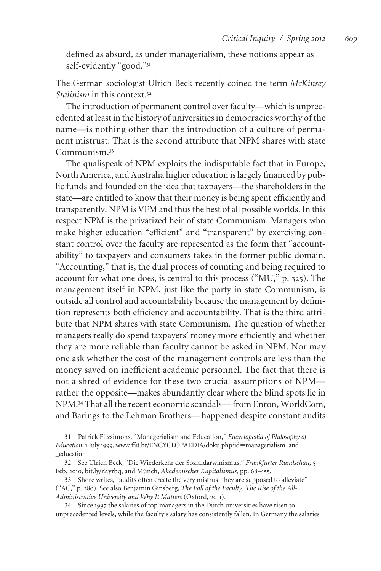defined as absurd, as under managerialism, these notions appear as self-evidently "good."<sup>31</sup>

The German sociologist Ulrich Beck recently coined the term *McKinsey Stalinism* in this context.<sup>32</sup>

The introduction of permanent control over faculty—which is unprecedented at least in the history of universities in democracies worthy of the name—is nothing other than the introduction of a culture of permanent mistrust. That is the second attribute that NPM shares with state Communism.<sup>33</sup>

The qualispeak of NPM exploits the indisputable fact that in Europe, North America, and Australia higher education is largely financed by public funds and founded on the idea that taxpayers—the shareholders in the state—are entitled to know that their money is being spent efficiently and transparently. NPM is VFM and thus the best of all possible worlds. In this respect NPM is the privatized heir of state Communism. Managers who make higher education "efficient" and "transparent" by exercising constant control over the faculty are represented as the form that "accountability" to taxpayers and consumers takes in the former public domain. "Accounting," that is, the dual process of counting and being required to account for what one does, is central to this process ("MU," p. 325). The management itself in NPM, just like the party in state Communism, is outside all control and accountability because the management by definition represents both efficiency and accountability. That is the third attribute that NPM shares with state Communism. The question of whether managers really do spend taxpayers' money more efficiently and whether they are more reliable than faculty cannot be asked in NPM. Nor may one ask whether the cost of the management controls are less than the money saved on inefficient academic personnel. The fact that there is not a shred of evidence for these two crucial assumptions of NPM rather the opposite—makes abundantly clear where the blind spots lie in NPM.<sup>34</sup> That all the recent economic scandals— from Enron, WorldCom, and Barings to the Lehman Brothers— happened despite constant audits

34. Since 1997 the salaries of top managers in the Dutch universities have risen to unprecedented levels, while the faculty's salary has consistently fallen. In Germany the salaries

<sup>31.</sup> Patrick Fitzsimons, "Managerialism and Education," *Encyclopedia of Philosophy of Education*, 1 July 1999, www.ffst.hr/ENCYCLOPAEDIA/doku.php?id=managerialism\_and \_education

<sup>32.</sup> See Ulrich Beck, "Die Wiederkehr der Sozialdarwinismus," *Frankfurter Rundschau,* 5 Feb. 2010, bit.ly/rZyrbq, and Münch, *Akademischer Kapitalismus*, pp. 68–155.

<sup>33.</sup> Shore writes, "audits often create the very mistrust they are supposed to alleviate" ("AC," p. 280). See also Benjamin Ginsberg, *The Fall of the Faculty: The Rise of the All-Administrative University and Why It Matters* (Oxford, 2011).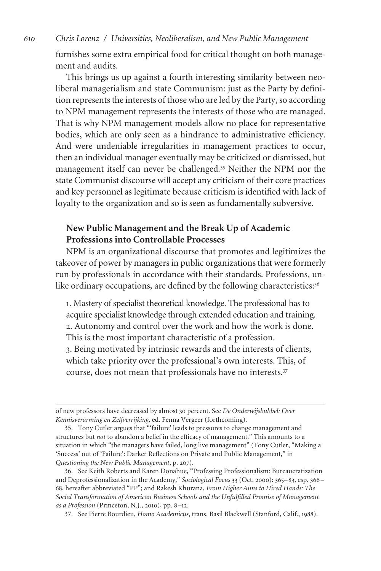furnishes some extra empirical food for critical thought on both management and audits.

This brings us up against a fourth interesting similarity between neoliberal managerialism and state Communism: just as the Party by definition represents the interests of those who are led by the Party, so according to NPM management represents the interests of those who are managed. That is why NPM management models allow no place for representative bodies, which are only seen as a hindrance to administrative efficiency. And were undeniable irregularities in management practices to occur, then an individual manager eventually may be criticized or dismissed, but management itself can never be challenged*.* <sup>35</sup> Neither the NPM nor the state Communist discourse will accept any criticism of their core practices and key personnel as legitimate because criticism is identified with lack of loyalty to the organization and so is seen as fundamentally subversive.

# **New Public Management and the Break Up of Academic Professions into Controllable Processes**

NPM is an organizational discourse that promotes and legitimizes the takeover of power by managers in public organizations that were formerly run by professionals in accordance with their standards. Professions, unlike ordinary occupations, are defined by the following characteristics:<sup>36</sup>

1. Mastery of specialist theoretical knowledge. The professional has to acquire specialist knowledge through extended education and training. 2. Autonomy and control over the work and how the work is done. This is the most important characteristic of a profession. 3. Being motivated by intrinsic rewards and the interests of clients, which take priority over the professional's own interests. This, of course, does not mean that professionals have no interests.<sup>37</sup>

of new professors have decreased by almost 30 percent. See *De Onderwijsbubbel: Over Kennisverarming en Zelfverrijking,* ed. Fenna Vergeer (forthcoming).

<sup>35.</sup> Tony Cutler argues that "'failure' leads to pressures to change management and structures but *not* to abandon a belief in the efficacy of management." This amounts to a situation in which "the managers have failed, long live management" (Tony Cutler, "Making a 'Success' out of 'Failure': Darker Reflections on Private and Public Management," in *Questioning the New Public Management*, p. 207).

<sup>36.</sup> See Keith Roberts and Karen Donahue, "Professing Professionalism: Bureaucratization and Deprofessionalization in the Academy," *Sociological Focus* 33 (Oct. 2000): 365–83, esp. 366– 68, hereafter abbreviated "PP"; and Rakesh Khurana, *From Higher Aims to Hired Hands: The Social Transformation of American Business Schools and the Unfulfilled Promise of Management as a Profession* (Princeton, N.J., 2010), pp. 8–12.

<sup>37.</sup> See Pierre Bourdieu, *Homo Academicus*, trans. Basil Blackwell (Stanford, Calif., 1988).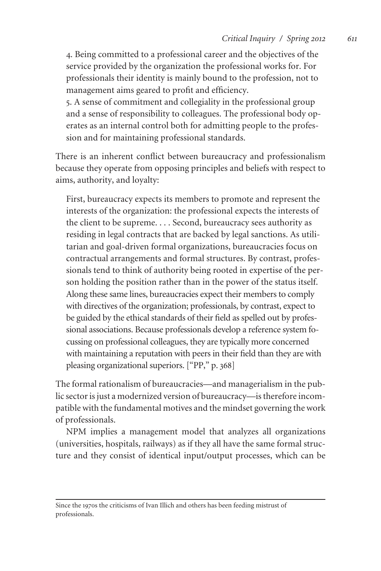4. Being committed to a professional career and the objectives of the service provided by the organization the professional works for. For professionals their identity is mainly bound to the profession, not to management aims geared to profit and efficiency.

5. A sense of commitment and collegiality in the professional group and a sense of responsibility to colleagues. The professional body operates as an internal control both for admitting people to the profession and for maintaining professional standards.

There is an inherent conflict between bureaucracy and professionalism because they operate from opposing principles and beliefs with respect to aims, authority, and loyalty:

First, bureaucracy expects its members to promote and represent the interests of the organization: the professional expects the interests of the client to be supreme.... Second, bureaucracy sees authority as residing in legal contracts that are backed by legal sanctions. As utilitarian and goal-driven formal organizations, bureaucracies focus on contractual arrangements and formal structures. By contrast, professionals tend to think of authority being rooted in expertise of the person holding the position rather than in the power of the status itself. Along these same lines, bureaucracies expect their members to comply with directives of the organization; professionals, by contrast, expect to be guided by the ethical standards of their field as spelled out by professional associations. Because professionals develop a reference system focussing on professional colleagues, they are typically more concerned with maintaining a reputation with peers in their field than they are with pleasing organizational superiors. ["PP," p.368]

The formal rationalism of bureaucracies—and managerialism in the public sector is just a modernized version of bureaucracy—is therefore incompatible with the fundamental motives and the mindset governing the work of professionals.

NPM implies a management model that analyzes all organizations (universities, hospitals, railways) as if they all have the same formal structure and they consist of identical input/output processes, which can be

Since the 1970s the criticisms of Ivan Illich and others has been feeding mistrust of professionals.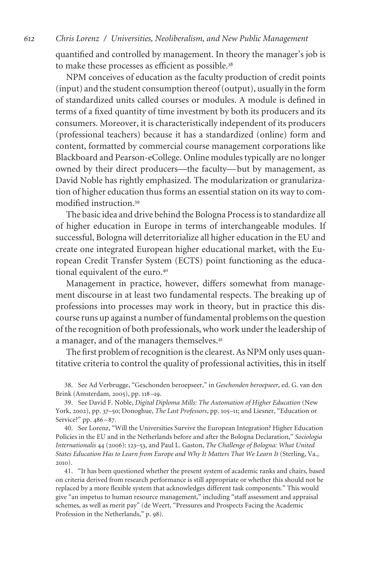quantified and controlled by management. In theory the manager's job is to make these processes as efficient as possible.<sup>38</sup>

NPM conceives of education as the faculty production of credit points (input) and the student consumption thereof (output), usually in the form of standardized units called courses or modules. A module is defined in terms of a fixed quantity of time investment by both its producers and its consumers. Moreover, it is characteristically independent of its producers (professional teachers) because it has a standardized (online) form and content, formatted by commercial course management corporations like Blackboard and Pearson-eCollege. Online modules typically are no longer owned by their direct producers—the faculty— but by management, as David Noble has rightly emphasized. The modularization or granularization of higher education thus forms an essential station on its way to commodified instruction.<sup>39</sup>

The basic idea and drive behind the Bologna Process is to standardize all of higher education in Europe in terms of interchangeable modules. If successful, Bologna will deterritorialize all higher education in the EU and create one integrated European higher educational market, with the European Credit Transfer System (ECTS) point functioning as the educational equivalent of the euro.<sup>40</sup>

Management in practice, however, differs somewhat from management discourse in at least two fundamental respects. The breaking up of professions into processes may work in theory, but in practice this discourse runs up against a number of fundamental problems on the question of the recognition of both professionals, who work under the leadership of a manager, and of the managers themselves.<sup>41</sup>

The first problem of recognition is the clearest. As NPM only uses quantitative criteria to control the quality of professional activities, this in itself

38. See Ad Verbrugge, "Geschonden beroepseer," in *Geschonden beroepseer*, ed. G. van den Brink (Amsterdam, 2005), pp. 118–19.

39. See David F. Noble, *Digital Diploma Mills: The Automation of Higher Education* (New York, 2002), pp. 37–50; Donoghue, *The Last Professors*, pp. 105–11; and Liesner, "Education or Service?" pp. 486–87.

40. See Lorenz, "Will the Universities Survive the European Integration? Higher Education Policies in the EU and in the Netherlands before and after the Bologna Declaration," *Sociologia Internationalis* 44 (2006): 123–53, and Paul L. Gaston, *The Challenge of Bologna: What United* States Education Has to Learn from Europe and Why It Matters That We Learn It (Sterling, Va., 2010).

41. "It has been questioned whether the present system of academic ranks and chairs, based on criteria derived from research performance is still appropriate or whether this should not be replaced by a more flexible system that acknowledges different task components." This would give "an impetus to human resource management," including "staff assessment and appraisal schemes, as well as merit pay" (de Weert, "Pressures and Prospects Facing the Academic Profession in the Netherlands," p. 98).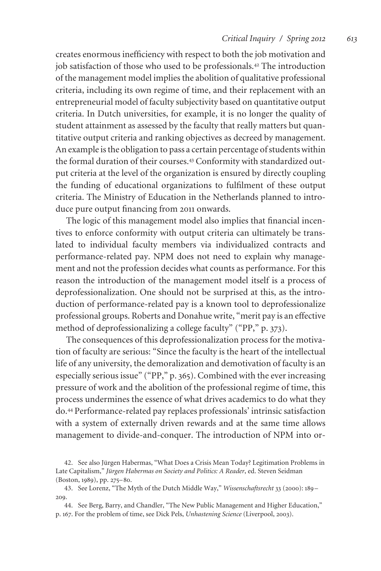### *Critical Inquiry / Spring 2012 613*

creates enormous inefficiency with respect to both the job motivation and job satisfaction of those who used to be professionals.<sup>42</sup> The introduction of the management model implies the abolition of qualitative professional criteria, including its own regime of time, and their replacement with an entrepreneurial model of faculty subjectivity based on quantitative output criteria. In Dutch universities, for example, it is no longer the quality of student attainment as assessed by the faculty that really matters but quantitative output criteria and ranking objectives as decreed by management. An example is the obligation to pass a certain percentage of students within the formal duration of their courses.<sup>43</sup> Conformity with standardized output criteria at the level of the organization is ensured by directly coupling the funding of educational organizations to fulfilment of these output criteria. The Ministry of Education in the Netherlands planned to introduce pure output financing from 2011 onwards.

The logic of this management model also implies that financial incentives to enforce conformity with output criteria can ultimately be translated to individual faculty members via individualized contracts and performance-related pay. NPM does not need to explain why management and not the profession decides what counts as performance. For this reason the introduction of the management model itself is a process of deprofessionalization. One should not be surprised at this, as the introduction of performance-related pay is a known tool to deprofessionalize professional groups. Roberts and Donahue write, "merit pay is an effective method of deprofessionalizing a college faculty" ("PP," p. 373).

The consequences of this deprofessionalization process for the motivation of faculty are serious: "Since the faculty is the heart of the intellectual life of any university, the demoralization and demotivation of faculty is an especially serious issue" ("PP," p.365). Combined with the ever increasing pressure of work and the abolition of the professional regime of time, this process undermines the essence of what drives academics to do what they do.<sup>44</sup> Performance-related pay replaces professionals' intrinsic satisfaction with a system of externally driven rewards and at the same time allows management to divide-and-conquer. The introduction of NPM into or-

<sup>42.</sup> See also Jürgen Habermas, "What Does a Crisis Mean Today? Legitimation Problems in Late Capitalism," *Jürgen Habermas on Society and Politics: A Reader*, ed. Steven Seidman (Boston, 1989), pp. 275–80.

<sup>43.</sup> See Lorenz, "The Myth of the Dutch Middle Way," *Wissenschaftsrecht* 33 (2000): 189– 209.

<sup>44.</sup> See Berg, Barry, and Chandler, "The New Public Management and Higher Education," p. 167. For the problem of time, see Dick Pels, *Unhastening Science* (Liverpool, 2003).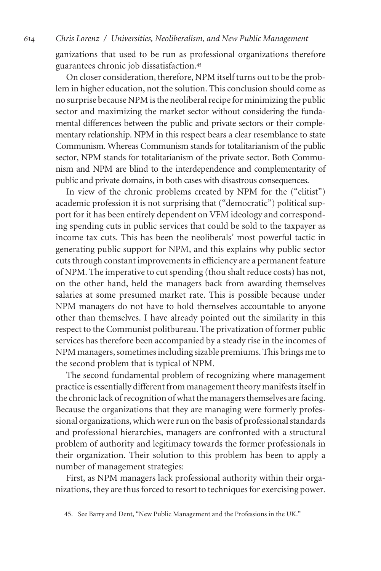ganizations that used to be run as professional organizations therefore guarantees chronic job dissatisfaction.<sup>45</sup>

On closer consideration, therefore, NPM itself turns out to be the problem in higher education, not the solution. This conclusion should come as no surprise because NPM is the neoliberal recipe for minimizing the public sector and maximizing the market sector without considering the fundamental differences between the public and private sectors or their complementary relationship. NPM in this respect bears a clear resemblance to state Communism. Whereas Communism stands for totalitarianism of the public sector, NPM stands for totalitarianism of the private sector. Both Communism and NPM are blind to the interdependence and complementarity of public and private domains, in both cases with disastrous consequences.

In view of the chronic problems created by NPM for the ("elitist") academic profession it is not surprising that ("democratic") political support for it has been entirely dependent on VFM ideology and corresponding spending cuts in public services that could be sold to the taxpayer as income tax cuts. This has been the neoliberals' most powerful tactic in generating public support for NPM, and this explains why public sector cuts through constant improvements in efficiency are a permanent feature of NPM. The imperative to cut spending (thou shalt reduce costs) has not, on the other hand, held the managers back from awarding themselves salaries at some presumed market rate. This is possible because under NPM managers do not have to hold themselves accountable to anyone other than themselves. I have already pointed out the similarity in this respect to the Communist politbureau. The privatization of former public services has therefore been accompanied by a steady rise in the incomes of NPM managers, sometimes including sizable premiums. This brings me to the second problem that is typical of NPM.

The second fundamental problem of recognizing where management practice is essentially different from management theory manifests itself in the chronic lack of recognition of what the managers themselves are facing. Because the organizations that they are managing were formerly professional organizations, which were run on the basis of professional standards and professional hierarchies, managers are confronted with a structural problem of authority and legitimacy towards the former professionals in their organization. Their solution to this problem has been to apply a number of management strategies:

First, as NPM managers lack professional authority within their organizations, they are thus forced to resort to techniques for exercising power.

<sup>45.</sup> See Barry and Dent, "New Public Management and the Professions in the UK."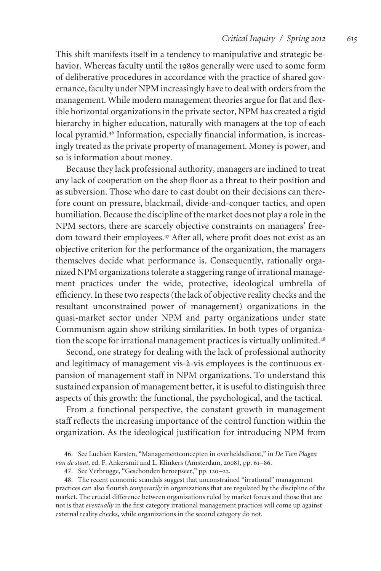This shift manifests itself in a tendency to manipulative and strategic behavior. Whereas faculty until the 1980s generally were used to some form of deliberative procedures in accordance with the practice of shared governance, faculty under NPM increasingly have to deal with orders from the management. While modern management theories argue for flat and flexible horizontal organizations in the private sector, NPM has created a rigid hierarchy in higher education, naturally with managers at the top of each local pyramid.<sup>46</sup> Information, especially financial information, is increasingly treated as the private property of management. Money is power, and so is information about money.

Because they lack professional authority, managers are inclined to treat any lack of cooperation on the shop floor as a threat to their position and as subversion. Those who dare to cast doubt on their decisions can therefore count on pressure, blackmail, divide-and-conquer tactics, and open humiliation. Because the discipline of the market does not play a role in the NPM sectors, there are scarcely objective constraints on managers' freedom toward their employees.<sup>47</sup> After all, where profit does not exist as an objective criterion for the performance of the organization, the managers themselves decide what performance is. Consequently, rationally organized NPM organizations tolerate a staggering range of irrational management practices under the wide, protective, ideological umbrella of efficiency. In these two respects (the lack of objective reality checks and the resultant unconstrained power of management) organizations in the quasi-market sector under NPM and party organizations under state Communism again show striking similarities. In both types of organization the scope for irrational management practices is virtually unlimited.<sup>48</sup>

Second, one strategy for dealing with the lack of professional authority and legitimacy of management vis-à-vis employees is the continuous expansion of management staff in NPM organizations. To understand this sustained expansion of management better, it is useful to distinguish three aspects of this growth: the functional, the psychological, and the tactical.

From a functional perspective, the constant growth in management staff reflects the increasing importance of the control function within the organization. As the ideological justification for introducing NPM from

<sup>46.</sup> See Luchien Karsten, "Managementconcepten in overheidsdienst," in *De Tien Plagen van de staat*, ed. F. Ankersmit and L. Klinkers (Amsterdam, 2008), pp. 61–86.

<sup>47.</sup> See Verbrugge, "Geschonden beroepseer," pp. 120–22.

<sup>48.</sup> The recent economic scandals suggest that unconstrained "irrational" management practices can also flourish *temporarily* in organizations that are regulated by the discipline of the market. The crucial difference between organizations ruled by market forces and those that are not is that *eventually* in the first category irrational management practices will come up against external reality checks, while organizations in the second category do not.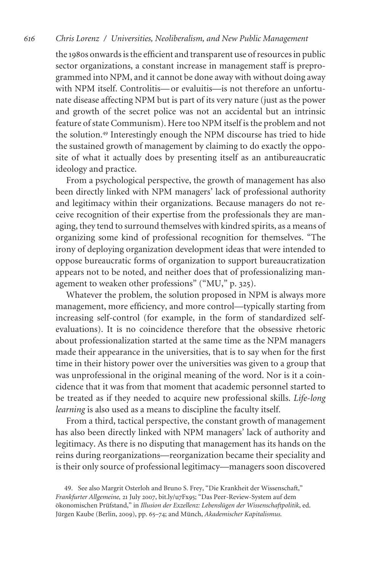the 1980s onwards is the efficient and transparent use of resources in public sector organizations, a constant increase in management staff is preprogrammed into NPM, and it cannot be done away with without doing away with NPM itself. Controlitis— or evaluitis—is not therefore an unfortunate disease affecting NPM but is part of its very nature (just as the power and growth of the secret police was not an accidental but an intrinsic feature of state Communism). Here too NPM itself is the problem and not the solution.<sup>49</sup> Interestingly enough the NPM discourse has tried to hide the sustained growth of management by claiming to do exactly the opposite of what it actually does by presenting itself as an antibureaucratic ideology and practice.

From a psychological perspective, the growth of management has also been directly linked with NPM managers' lack of professional authority and legitimacy within their organizations. Because managers do not receive recognition of their expertise from the professionals they are managing, they tend to surround themselves with kindred spirits, as a means of organizing some kind of professional recognition for themselves. "The irony of deploying organization development ideas that were intended to oppose bureaucratic forms of organization to support bureaucratization appears not to be noted, and neither does that of professionalizing management to weaken other professions" ("MU," p. 325).

Whatever the problem, the solution proposed in NPM is always more management, more efficiency, and more control—typically starting from increasing self-control (for example, in the form of standardized selfevaluations). It is no coincidence therefore that the obsessive rhetoric about professionalization started at the same time as the NPM managers made their appearance in the universities, that is to say when for the first time in their history power over the universities was given to a group that was unprofessional in the original meaning of the word. Nor is it a coincidence that it was from that moment that academic personnel started to be treated as if they needed to acquire new professional skills. *Life-long learning* is also used as a means to discipline the faculty itself.

From a third, tactical perspective, the constant growth of management has also been directly linked with NPM managers' lack of authority and legitimacy. As there is no disputing that management has its hands on the reins during reorganizations—reorganization became their speciality and is their only source of professional legitimacy—managers soon discovered

<sup>49.</sup> See also Margrit Osterloh and Bruno S. Frey, "Die Krankheit der Wissenschaft," *Frankfurter Allgemeine,* 21 July 2007, bit.ly/u7Fx95; "Das Peer-Review-System auf dem ökonomischen Pru¨fstand," in *Illusion der Exzellenz: Lebenslu¨gen der Wissenschaftpolitik*, ed. Jürgen Kaube (Berlin, 2009), pp. 65–74; and Münch, *Akademischer Kapitalismus.*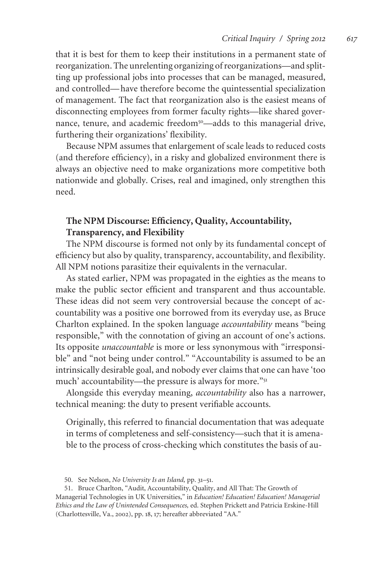that it is best for them to keep their institutions in a permanent state of reorganization. The unrelenting organizing of reorganizations—and splitting up professional jobs into processes that can be managed, measured, and controlled— have therefore become the quintessential specialization of management. The fact that reorganization also is the easiest means of disconnecting employees from former faculty rights—like shared governance, tenure, and academic freedom<sup>50</sup>—adds to this managerial drive, furthering their organizations' flexibility.

Because NPM assumes that enlargement of scale leads to reduced costs (and therefore efficiency), in a risky and globalized environment there is always an objective need to make organizations more competitive both nationwide and globally. Crises, real and imagined, only strengthen this need.

## **The NPM Discourse: Efficiency, Quality, Accountability, Transparency, and Flexibility**

The NPM discourse is formed not only by its fundamental concept of efficiency but also by quality, transparency, accountability, and flexibility. All NPM notions parasitize their equivalents in the vernacular.

As stated earlier, NPM was propagated in the eighties as the means to make the public sector efficient and transparent and thus accountable. These ideas did not seem very controversial because the concept of accountability was a positive one borrowed from its everyday use, as Bruce Charlton explained. In the spoken language *accountability* means "being responsible," with the connotation of giving an account of one's actions. Its opposite *unaccountable* is more or less synonymous with "irresponsible" and "not being under control." "Accountability is assumed to be an intrinsically desirable goal, and nobody ever claims that one can have 'too much' accountability—the pressure is always for more."<sup>51</sup>

Alongside this everyday meaning, *accountability* also has a narrower, technical meaning: the duty to present verifiable accounts.

Originally, this referred to financial documentation that was adequate in terms of completeness and self-consistency—such that it is amenable to the process of cross-checking which constitutes the basis of au-

<sup>50.</sup> See Nelson, *No University Is an Island,* pp. 31–51.

<sup>51.</sup> Bruce Charlton, "Audit, Accountability, Quality, and All That: The Growth of Managerial Technologies in UK Universities," in *Education! Education! Education! Managerial Ethics and the Law of Unintended Consequences,* ed. Stephen Prickett and Patricia Erskine-Hill (Charlottesville, Va., 2002), pp. 18, 17; hereafter abbreviated "AA."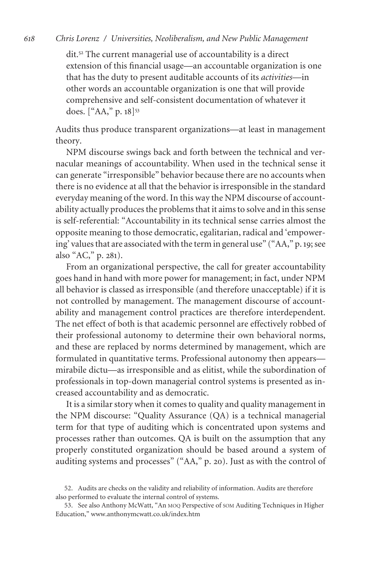dit.<sup>52</sup> The current managerial use of accountability is a direct extension of this financial usage—an accountable organization is one that has the duty to present auditable accounts of its *activities*—in other words an accountable organization is one that will provide comprehensive and self-consistent documentation of whatever it does. ["AA," p. 18]<sup>53</sup>

Audits thus produce transparent organizations—at least in management theory.

NPM discourse swings back and forth between the technical and vernacular meanings of accountability. When used in the technical sense it can generate "irresponsible" behavior because there are no accounts when there is no evidence at all that the behavior is irresponsible in the standard everyday meaning of the word. In this way the NPM discourse of accountability actually produces the problems that it aims to solve and in this sense is self-referential: "Accountability in its technical sense carries almost the opposite meaning to those democratic, egalitarian, radical and 'empowering' values that are associated with the term in general use" ("AA," p.19; see also "AC," p. 281).

From an organizational perspective, the call for greater accountability goes hand in hand with more power for management; in fact, under NPM all behavior is classed as irresponsible (and therefore unacceptable) if it is not controlled by management. The management discourse of accountability and management control practices are therefore interdependent. The net effect of both is that academic personnel are effectively robbed of their professional autonomy to determine their own behavioral norms, and these are replaced by norms determined by management, which are formulated in quantitative terms. Professional autonomy then appears mirabile dictu—as irresponsible and as elitist, while the subordination of professionals in top-down managerial control systems is presented as increased accountability and as democratic.

It is a similar story when it comes to quality and quality management in the NPM discourse: "Quality Assurance (QA) is a technical managerial term for that type of auditing which is concentrated upon systems and processes rather than outcomes. QA is built on the assumption that any properly constituted organization should be based around a system of auditing systems and processes" ("AA," p. 20). Just as with the control of

<sup>52.</sup> Audits are checks on the validity and reliability of information. Audits are therefore also performed to evaluate the internal control of systems.

<sup>53.</sup> See also Anthony McWatt, "An MOQ Perspective of SOM Auditing Techniques in Higher Education," www.anthonymcwatt.co.uk/index.htm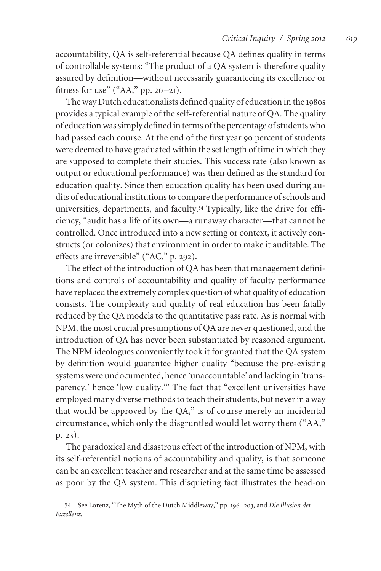accountability, QA is self-referential because QA defines quality in terms of controllable systems: "The product of a QA system is therefore quality assured by definition*—*without necessarily guaranteeing its excellence or fitness for use" ("AA," pp. 20–21).

The way Dutch educationalists defined quality of education in the 1980s provides a typical example of the self-referential nature of QA. The quality of education was simply defined in terms of the percentage of students who had passed each course. At the end of the first year 90 percent of students were deemed to have graduated within the set length of time in which they are supposed to complete their studies. This success rate (also known as output or educational performance) was then defined as the standard for education quality. Since then education quality has been used during audits of educational institutions to compare the performance of schools and universities, departments, and faculty.<sup>54</sup> Typically, like the drive for efficiency, "audit has a life of its own—a runaway character—that cannot be controlled. Once introduced into a new setting or context, it actively constructs (or colonizes) that environment in order to make it auditable. The effects are irreversible" ("AC," p. 292).

The effect of the introduction of QA has been that management definitions and controls of accountability and quality of faculty performance have replaced the extremely complex question of what quality of education consists. The complexity and quality of real education has been fatally reduced by the QA models to the quantitative pass rate. As is normal with NPM, the most crucial presumptions of QA are never questioned, and the introduction of QA has never been substantiated by reasoned argument. The NPM ideologues conveniently took it for granted that the QA system by definition would guarantee higher quality "because the pre-existing systems were undocumented, hence 'unaccountable' and lacking in 'transparency,' hence 'low quality.'" The fact that "excellent universities have employed many diverse methods to teach their students, but never in a way that would be approved by the QA," is of course merely an incidental circumstance, which only the disgruntled would let worry them ("AA," p. 23).

The paradoxical and disastrous effect of the introduction of NPM, with its self-referential notions of accountability and quality, is that someone can be an excellent teacher and researcher and at the same time be assessed as poor by the QA system. This disquieting fact illustrates the head-on

<sup>54.</sup> See Lorenz, "The Myth of the Dutch Middleway," pp. 196–203, and *Die Illusion der Exzellenz.*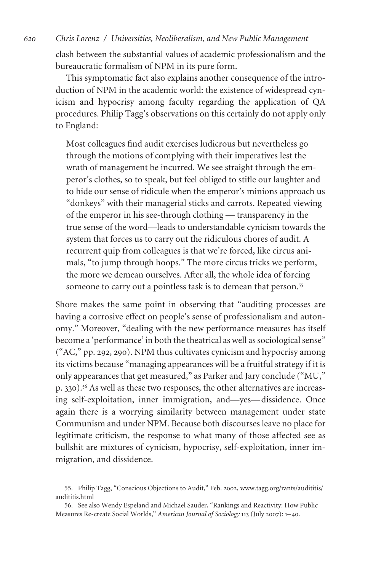clash between the substantial values of academic professionalism and the bureaucratic formalism of NPM in its pure form.

This symptomatic fact also explains another consequence of the introduction of NPM in the academic world: the existence of widespread cynicism and hypocrisy among faculty regarding the application of QA procedures. Philip Tagg's observations on this certainly do not apply only to England:

Most colleagues find audit exercises ludicrous but nevertheless go through the motions of complying with their imperatives lest the wrath of management be incurred. We see straight through the emperor's clothes, so to speak, but feel obliged to stifle our laughter and to hide our sense of ridicule when the emperor's minions approach us "donkeys" with their managerial sticks and carrots. Repeated viewing of the emperor in his see-through clothing — transparency in the true sense of the word—leads to understandable cynicism towards the system that forces us to carry out the ridiculous chores of audit. A recurrent quip from colleagues is that we're forced, like circus animals, "to jump through hoops." The more circus tricks we perform, the more we demean ourselves. After all, the whole idea of forcing someone to carry out a pointless task is to demean that person.<sup>55</sup>

Shore makes the same point in observing that "auditing processes are having a corrosive effect on people's sense of professionalism and autonomy." Moreover, "dealing with the new performance measures has itself become a 'performance' in both the theatrical as well as sociological sense" ("AC," pp. 292, 290). NPM thus cultivates cynicism and hypocrisy among its victims because "managing appearances will be a fruitful strategy if it is only appearances that get measured," as Parker and Jary conclude ("MU," p. 330).<sup>56</sup> As well as these two responses, the other alternatives are increasing self-exploitation, inner immigration, and—yes— dissidence. Once again there is a worrying similarity between management under state Communism and under NPM. Because both discourses leave no place for legitimate criticism, the response to what many of those affected see as bullshit are mixtures of cynicism, hypocrisy, self-exploitation, inner immigration, and dissidence.

<sup>55.</sup> Philip Tagg, "Conscious Objections to Audit," Feb. 2002, www.tagg.org/rants/audititis/ audititis.html

<sup>56.</sup> See also Wendy Espeland and Michael Sauder, "Rankings and Reactivity: How Public Measures Re-create Social Worlds," *American Journal of Sociology* 113 (July 2007): 1–40.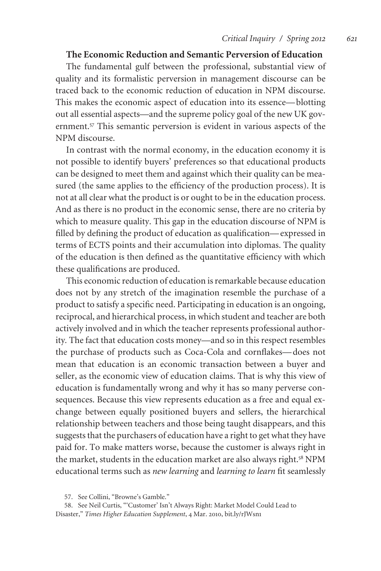### **The Economic Reduction and Semantic Perversion of Education**

The fundamental gulf between the professional, substantial view of quality and its formalistic perversion in management discourse can be traced back to the economic reduction of education in NPM discourse. This makes the economic aspect of education into its essence— blotting out all essential aspects—and the supreme policy goal of the new UK government.<sup>57</sup> This semantic perversion is evident in various aspects of the NPM discourse.

In contrast with the normal economy, in the education economy it is not possible to identify buyers' preferences so that educational products can be designed to meet them and against which their quality can be measured (the same applies to the efficiency of the production process). It is not at all clear what the product is or ought to be in the education process. And as there is no product in the economic sense, there are no criteria by which to measure quality. This gap in the education discourse of NPM is filled by defining the product of education as qualification— expressed in terms of ECTS points and their accumulation into diplomas. The quality of the education is then defined as the quantitative efficiency with which these qualifications are produced.

This economic reduction of education is remarkable because education does not by any stretch of the imagination resemble the purchase of a product to satisfy a specific need. Participating in education is an ongoing, reciprocal, and hierarchical process, in which student and teacher are both actively involved and in which the teacher represents professional authority*.* The fact that education costs money—and so in this respect resembles the purchase of products such as Coca-Cola and cornflakes— does not mean that education is an economic transaction between a buyer and seller, as the economic view of education claims. That is why this view of education is fundamentally wrong and why it has so many perverse consequences. Because this view represents education as a free and equal exchange between equally positioned buyers and sellers, the hierarchical relationship between teachers and those being taught disappears, and this suggests that the purchasers of education have a right to get what they have paid for. To make matters worse, because the customer is always right in the market, students in the education market are also always right.<sup>58</sup> NPM educational terms such as *new learning* and *learning to learn* fit seamlessly

<sup>57.</sup> See Collini, "Browne's Gamble."

<sup>58.</sup> See Neil Curtis, "'Customer' Isn't Always Right: Market Model Could Lead to Disaster," *Times Higher Education Supplement*, 4 Mar. 2010, bit.ly/rJWsn1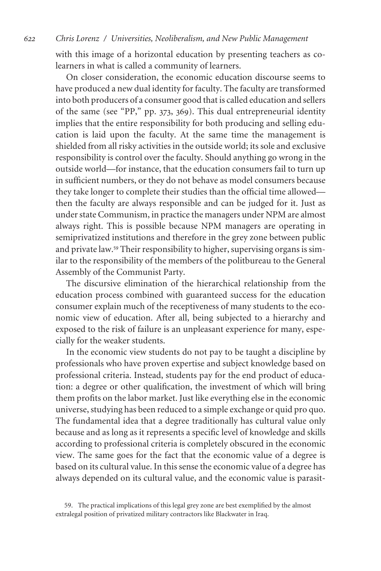with this image of a horizontal education by presenting teachers as colearners in what is called a community of learners.

On closer consideration, the economic education discourse seems to have produced a new dual identity for faculty. The faculty are transformed into both producers of a consumer good that is called education and sellers of the same (see "PP," pp. 373, 369). This dual entrepreneurial identity implies that the entire responsibility for both producing and selling education is laid upon the faculty. At the same time the management is shielded from all risky activities in the outside world; its sole and exclusive responsibility is control over the faculty. Should anything go wrong in the outside world—for instance, that the education consumers fail to turn up in sufficient numbers, or they do not behave as model consumers because they take longer to complete their studies than the official time allowed then the faculty are always responsible and can be judged for it. Just as under state Communism, in practice the managers under NPM are almost always right. This is possible because NPM managers are operating in semiprivatized institutions and therefore in the grey zone between public and private law.<sup>59</sup> Their responsibility to higher, supervising organs is similar to the responsibility of the members of the politbureau to the General Assembly of the Communist Party.

The discursive elimination of the hierarchical relationship from the education process combined with guaranteed success for the education consumer explain much of the receptiveness of many students to the economic view of education. After all, being subjected to a hierarchy and exposed to the risk of failure is an unpleasant experience for many, especially for the weaker students.

In the economic view students do not pay to be taught a discipline by professionals who have proven expertise and subject knowledge based on professional criteria. Instead, students pay for the end product of education: a degree or other qualification, the investment of which will bring them profits on the labor market. Just like everything else in the economic universe, studying has been reduced to a simple exchange or quid pro quo. The fundamental idea that a degree traditionally has cultural value only because and as long as it represents a specific level of knowledge and skills according to professional criteria is completely obscured in the economic view. The same goes for the fact that the economic value of a degree is based on its cultural value. In this sense the economic value of a degree has always depended on its cultural value, and the economic value is parasit-

<sup>59.</sup> The practical implications of this legal grey zone are best exemplified by the almost extralegal position of privatized military contractors like Blackwater in Iraq.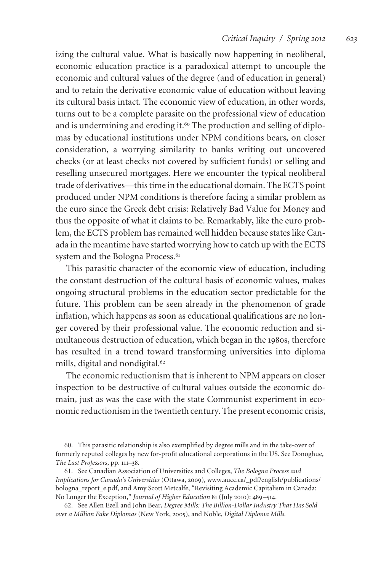### *Critical Inquiry / Spring 2012 623*

izing the cultural value. What is basically now happening in neoliberal, economic education practice is a paradoxical attempt to uncouple the economic and cultural values of the degree (and of education in general) and to retain the derivative economic value of education without leaving its cultural basis intact. The economic view of education, in other words, turns out to be a complete parasite on the professional view of education and is undermining and eroding it.<sup>60</sup> The production and selling of diplomas by educational institutions under NPM conditions bears, on closer consideration, a worrying similarity to banks writing out uncovered checks (or at least checks not covered by sufficient funds) or selling and reselling unsecured mortgages. Here we encounter the typical neoliberal trade of derivatives—this time in the educational domain. The ECTS point produced under NPM conditions is therefore facing a similar problem as the euro since the Greek debt crisis: Relatively Bad Value for Money and thus the opposite of what it claims to be. Remarkably, like the euro problem, the ECTS problem has remained well hidden because states like Canada in the meantime have started worrying how to catch up with the ECTS system and the Bologna Process.<sup>61</sup>

This parasitic character of the economic view of education, including the constant destruction of the cultural basis of economic values, makes ongoing structural problems in the education sector predictable for the future. This problem can be seen already in the phenomenon of grade inflation, which happens as soon as educational qualifications are no longer covered by their professional value. The economic reduction and simultaneous destruction of education, which began in the 1980s, therefore has resulted in a trend toward transforming universities into diploma mills, digital and nondigital.<sup>62</sup>

The economic reductionism that is inherent to NPM appears on closer inspection to be destructive of cultural values outside the economic domain, just as was the case with the state Communist experiment in economic reductionism in the twentieth century. The present economic crisis,

61. See Canadian Association of Universities and Colleges, *The Bologna Process and Implications for Canada's Universities* (Ottawa, 2009), www.aucc.ca/\_pdf/english/publications/ bologna\_report\_e.pdf, and Amy Scott Metcalfe, "Revisiting Academic Capitalism in Canada: No Longer the Exception," *Journal of Higher Education* 81 (July 2010): 489–514.

62. See Allen Ezell and John Bear, *Degree Mills: The Billion-Dollar Industry That Has Sold over a Million Fake Diplomas* (New York, 2005), and Noble, *Digital Diploma Mills.*

<sup>60.</sup> This parasitic relationship is also exemplified by degree mills and in the take-over of formerly reputed colleges by new for-profit educational corporations in the US. See Donoghue, *The Last Professors*, pp. 111–38.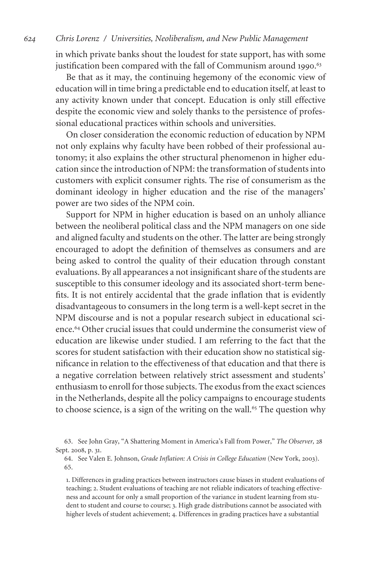in which private banks shout the loudest for state support, has with some justification been compared with the fall of Communism around 1990. 63

Be that as it may, the continuing hegemony of the economic view of education will in time bring a predictable end to education itself, at least to any activity known under that concept. Education is only still effective despite the economic view and solely thanks to the persistence of professional educational practices within schools and universities.

On closer consideration the economic reduction of education by NPM not only explains why faculty have been robbed of their professional autonomy; it also explains the other structural phenomenon in higher education since the introduction of NPM: the transformation of students into customers with explicit consumer rights. The rise of consumerism as the dominant ideology in higher education and the rise of the managers' power are two sides of the NPM coin.

Support for NPM in higher education is based on an unholy alliance between the neoliberal political class and the NPM managers on one side and aligned faculty and students on the other. The latter are being strongly encouraged to adopt the definition of themselves as consumers and are being asked to control the quality of their education through constant evaluations. By all appearances a not insignificant share of the students are susceptible to this consumer ideology and its associated short-term benefits. It is not entirely accidental that the grade inflation that is evidently disadvantageous to consumers in the long term is a well-kept secret in the NPM discourse and is not a popular research subject in educational science.<sup>64</sup> Other crucial issues that could undermine the consumerist view of education are likewise under studied. I am referring to the fact that the scores for student satisfaction with their education show no statistical significance in relation to the effectiveness of that education and that there is a negative correlation between relatively strict assessment and students' enthusiasm to enroll for those subjects. The exodus from the exact sciences in the Netherlands, despite all the policy campaigns to encourage students to choose science, is a sign of the writing on the wall.<sup>65</sup> The question why

1. Differences in grading practices between instructors cause biases in student evaluations of teaching; 2. Student evaluations of teaching are not reliable indicators of teaching effectiveness and account for only a small proportion of the variance in student learning from student to student and course to course; 3. High grade distributions cannot be associated with higher levels of student achievement; 4. Differences in grading practices have a substantial

<sup>63.</sup> See John Gray, "A Shattering Moment in America's Fall from Power," *The Observer,* 28 Sept. 2008, p. 31.

<sup>64.</sup> See Valen E. Johnson, *Grade Inflation: A Crisis in College Education* (New York, 2003). 65.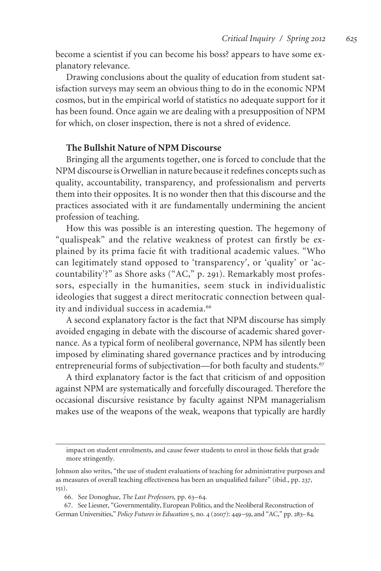become a scientist if you can become his boss? appears to have some explanatory relevance.

Drawing conclusions about the quality of education from student satisfaction surveys may seem an obvious thing to do in the economic NPM cosmos, but in the empirical world of statistics no adequate support for it has been found. Once again we are dealing with a presupposition of NPM for which, on closer inspection, there is not a shred of evidence.

### **The Bullshit Nature of NPM Discourse**

Bringing all the arguments together, one is forced to conclude that the NPM discourse is Orwellian in nature because it redefines concepts such as quality, accountability, transparency, and professionalism and perverts them into their opposites. It is no wonder then that this discourse and the practices associated with it are fundamentally undermining the ancient profession of teaching.

How this was possible is an interesting question. The hegemony of "qualispeak" and the relative weakness of protest can firstly be explained by its prima facie fit with traditional academic values. "Who can legitimately stand opposed to 'transparency', or 'quality' or 'accountability'?" as Shore asks ("AC," p. 291). Remarkably most professors, especially in the humanities, seem stuck in individualistic ideologies that suggest a direct meritocratic connection between quality and individual success in academia.<sup>66</sup>

A second explanatory factor is the fact that NPM discourse has simply avoided engaging in debate with the discourse of academic shared governance. As a typical form of neoliberal governance, NPM has silently been imposed by eliminating shared governance practices and by introducing entrepreneurial forms of subjectivation—for both faculty and students.<sup>67</sup>

A third explanatory factor is the fact that criticism of and opposition against NPM are systematically and forcefully discouraged. Therefore the occasional discursive resistance by faculty against NPM managerialism makes use of the weapons of the weak, weapons that typically are hardly

impact on student enrolments, and cause fewer students to enrol in those fields that grade more stringently.

Johnson also writes, "the use of student evaluations of teaching for administrative purposes and as measures of overall teaching effectiveness has been an unqualified failure" (ibid., pp. 237, 151).

<sup>66.</sup> See Donoghue, *The Last Professors,* pp. 63–64.

<sup>67.</sup> See Liesner, "Governmentality, European Politics, and the Neoliberal Reconstruction of German Universities," *Policy Futures in Education* 5, no. 4 (2007): 449–59, and "AC," pp. 283–84.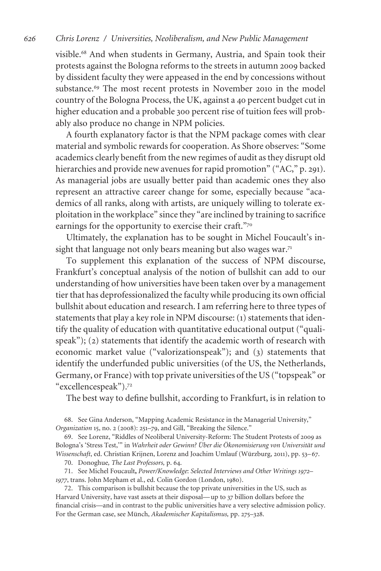visible.<sup>68</sup> And when students in Germany, Austria, and Spain took their protests against the Bologna reforms to the streets in autumn 2009 backed by dissident faculty they were appeased in the end by concessions without substance.<sup>69</sup> The most recent protests in November 2010 in the model country of the Bologna Process, the UK, against a 40 percent budget cut in higher education and a probable 300 percent rise of tuition fees will probably also produce no change in NPM policies.

A fourth explanatory factor is that the NPM package comes with clear material and symbolic rewards for cooperation. As Shore observes: "Some academics clearly benefit from the new regimes of audit as they disrupt old hierarchies and provide new avenues for rapid promotion" ("AC," p. 291). As managerial jobs are usually better paid than academic ones they also represent an attractive career change for some, especially because "academics of all ranks, along with artists, are uniquely willing to tolerate exploitation in the workplace" since they "are inclined by training to sacrifice earnings for the opportunity to exercise their craft."<sup>70</sup>

Ultimately, the explanation has to be sought in Michel Foucault's insight that language not only bears meaning but also wages war.<sup>71</sup>

To supplement this explanation of the success of NPM discourse, Frankfurt's conceptual analysis of the notion of bullshit can add to our understanding of how universities have been taken over by a management tier that has deprofessionalized the faculty while producing its own official bullshit about education and research. I am referring here to three types of statements that play a key role in NPM discourse: (1) statements that identify the quality of education with quantitative educational output ("qualispeak"); (2) statements that identify the academic worth of research with economic market value ("valorizationspeak"); and (3) statements that identify the underfunded public universities (of the US, the Netherlands, Germany, or France) with top private universities of the US ("topspeak" or "excellencespeak").<sup>72</sup>

The best way to define bullshit, according to Frankfurt, is in relation to

68. See Gina Anderson, "Mapping Academic Resistance in the Managerial University," *Organization* 15, no. 2 (2008): 251–79, and Gill, "Breaking the Silence."

69. See Lorenz, "Riddles of Neoliberal University-Reform: The Student Protests of 2009 as Bologna's 'Stress Test,'" in *Wahrheit oder Gewinn? Über die Ökonomisierung von Universität und Wissenschaft*, ed. Christian Krijnen, Lorenz and Joachim Umlauf (Wu¨rzburg, 2011), pp. 53–67.

70. Donoghue*, The Last Professors,* p. 64.

71. See Michel Foucault**,** *Power/Knowledge*: *Selected Interviews and Other Writings 1972*– *1977*, trans. John Mepham et al., ed. Colin Gordon (London, 1980).

72. This comparison is bullshit because the top private universities in the US, such as Harvard University, have vast assets at their disposal— up to 37 billion dollars before the financial crisis—and in contrast to the public universities have a very selective admission policy. For the German case, see Münch, *Akademischer Kapitalismus*, pp. 275–328.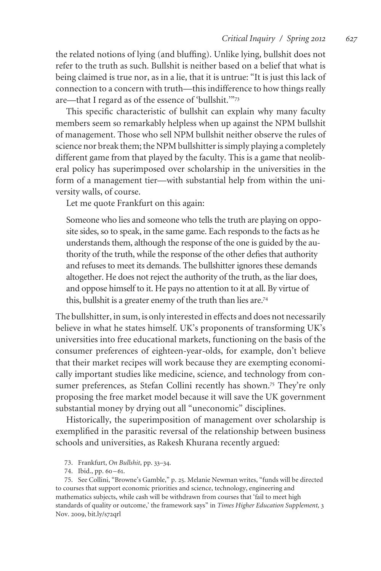### *Critical Inquiry / Spring 2012 627*

the related notions of lying (and bluffing). Unlike lying, bullshit does not refer to the truth as such. Bullshit is neither based on a belief that what is being claimed is true nor, as in a lie, that it is untrue: "It is just this lack of connection to a concern with truth—this indifference to how things really are—that I regard as of the essence of 'bullshit.'"<sup>73</sup>

This specific characteristic of bullshit can explain why many faculty members seem so remarkably helpless when up against the NPM bullshit of management. Those who sell NPM bullshit neither observe the rules of science nor break them; the NPM bullshitter is simply playing a completely different game from that played by the faculty. This is a game that neoliberal policy has superimposed over scholarship in the universities in the form of a management tier—with substantial help from within the university walls, of course.

Let me quote Frankfurt on this again:

Someone who lies and someone who tells the truth are playing on opposite sides, so to speak, in the same game. Each responds to the facts as he understands them, although the response of the one is guided by the authority of the truth, while the response of the other defies that authority and refuses to meet its demands. The bullshitter ignores these demands altogether. He does not reject the authority of the truth, as the liar does, and oppose himself to it. He pays no attention to it at all. By virtue of this, bullshit is a greater enemy of the truth than lies are.<sup>74</sup>

The bullshitter, in sum, is only interested in effects and does not necessarily believe in what he states himself. UK's proponents of transforming UK's universities into free educational markets, functioning on the basis of the consumer preferences of eighteen-year-olds, for example, don't believe that their market recipes will work because they are exempting economically important studies like medicine, science, and technology from consumer preferences, as Stefan Collini recently has shown.<sup>75</sup> They're only proposing the free market model because it will save the UK government substantial money by drying out all "uneconomic" disciplines.

Historically, the superimposition of management over scholarship is exemplified in the parasitic reversal of the relationship between business schools and universities, as Rakesh Khurana recently argued:

- 73. Frankfurt, *On Bullshit*, pp. 33–34.
- 74. Ibid., pp. 60–61.

75. See Collini, "Browne's Gamble," p. 25. Melanie Newman writes, "funds will be directed to courses that support economic priorities and science, technology, engineering and mathematics subjects, while cash will be withdrawn from courses that 'fail to meet high standards of quality or outcome,' the framework says" in *Times Higher Education Supplement,* 3 Nov. 2009, bit.ly/s72qrl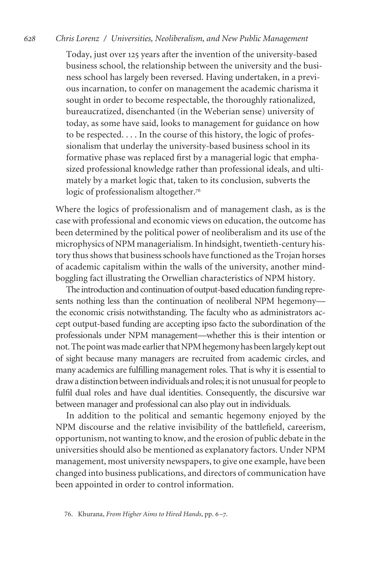Today, just over 125 years after the invention of the university-based business school, the relationship between the university and the business school has largely been reversed. Having undertaken, in a previous incarnation, to confer on management the academic charisma it sought in order to become respectable, the thoroughly rationalized, bureaucratized, disenchanted (in the Weberian sense) university of today, as some have said, looks to management for guidance on how to be respected. . . . In the course of this history, the logic of professionalism that underlay the university-based business school in its formative phase was replaced first by a managerial logic that emphasized professional knowledge rather than professional ideals, and ultimately by a market logic that, taken to its conclusion, subverts the logic of professionalism altogether.<sup>76</sup>

Where the logics of professionalism and of management clash, as is the case with professional and economic views on education, the outcome has been determined by the political power of neoliberalism and its use of the microphysics of NPM managerialism. In hindsight, twentieth-century history thus shows that business schools have functioned as the Trojan horses of academic capitalism within the walls of the university, another mindboggling fact illustrating the Orwellian characteristics of NPM history.

The introduction and continuation of output-based education funding represents nothing less than the continuation of neoliberal NPM hegemony the economic crisis notwithstanding. The faculty who as administrators accept output-based funding are accepting ipso facto the subordination of the professionals under NPM management—whether this is their intention or not. The point was made earlier that NPM hegemony has been largely kept out of sight because many managers are recruited from academic circles, and many academics are fulfilling management roles. That is why it is essential to draw a distinction between individuals and roles; it is not unusual for people to fulfil dual roles and have dual identities. Consequently, the discursive war between manager and professional can also play out in individuals.

In addition to the political and semantic hegemony enjoyed by the NPM discourse and the relative invisibility of the battlefield, careerism, opportunism, not wanting to know, and the erosion of public debate in the universities should also be mentioned as explanatory factors. Under NPM management, most university newspapers, to give one example, have been changed into business publications, and directors of communication have been appointed in order to control information.

<sup>76.</sup> Khurana, *From Higher Aims to Hired Hands*, pp. 6–7.